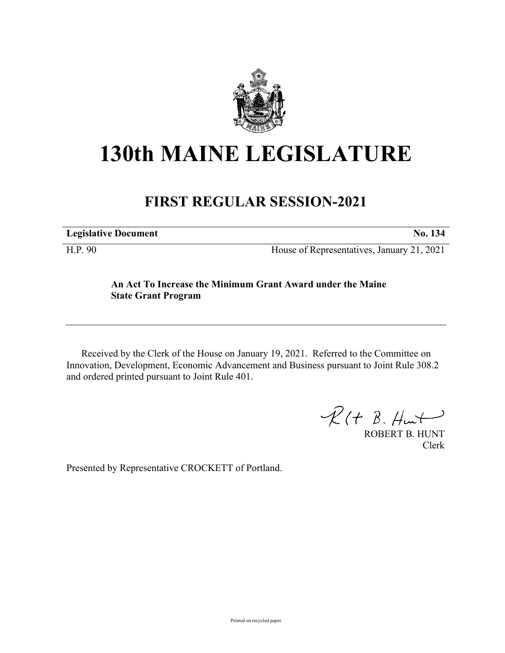

## **130th MAINE LEGISLATURE**

## **FIRST REGULAR SESSION-2021**

**Legislative Document No. 134**

H.P. 90 House of Representatives, January 21, 2021

## **An Act To Increase the Minimum Grant Award under the Maine State Grant Program**

Received by the Clerk of the House on January 19, 2021. Referred to the Committee on Innovation, Development, Economic Advancement and Business pursuant to Joint Rule 308.2 and ordered printed pursuant to Joint Rule 401.

 $R(H B. H<sub>un</sub>+)$ 

ROBERT B. HUNT Clerk

Presented by Representative CROCKETT of Portland.